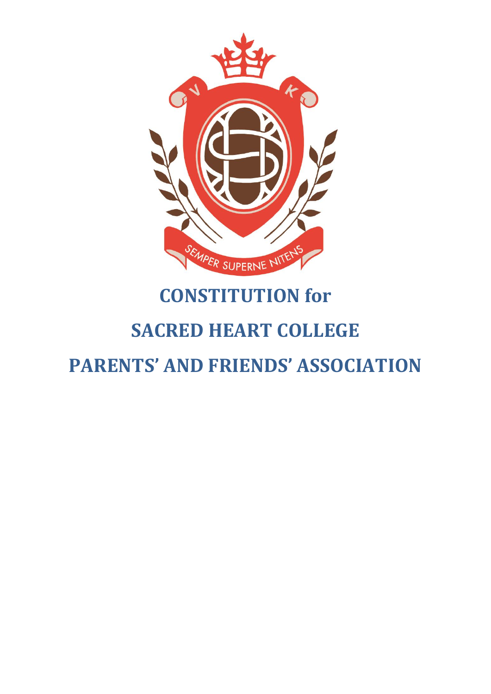

# **CONSTITUTION for**

## **SACRED HEART COLLEGE**

**PARENTS' AND FRIENDS' ASSOCIATION**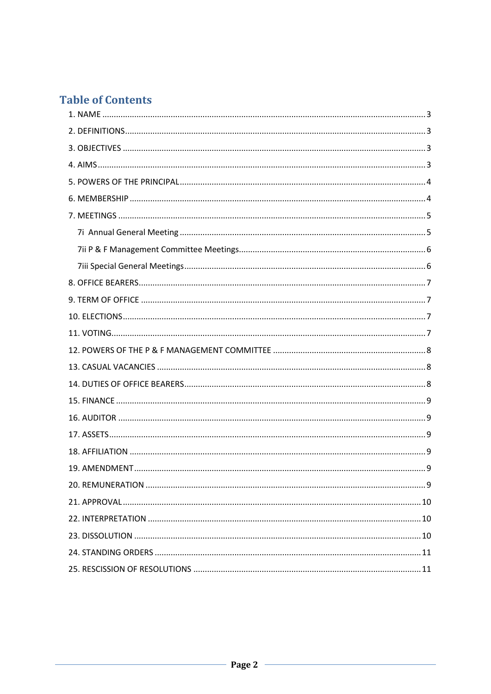## **Table of Contents**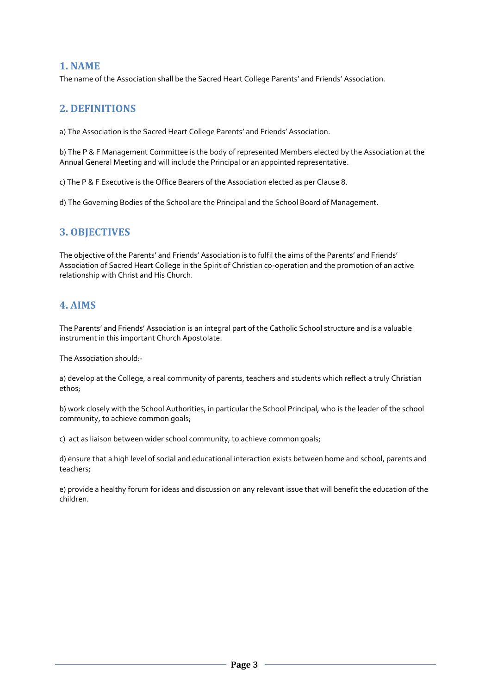#### <span id="page-2-0"></span>**1. NAME**

The name of the Association shall be the Sacred Heart College Parents' and Friends' Association.

## <span id="page-2-1"></span>**2. DEFINITIONS**

a) The Association is the Sacred Heart College Parents' and Friends' Association.

b) The P & F Management Committee is the body of represented Members elected by the Association at the Annual General Meeting and will include the Principal or an appointed representative.

c) The P & F Executive is the Office Bearers of the Association elected as per Clause 8.

d) The Governing Bodies of the School are the Principal and the School Board of Management.

## <span id="page-2-2"></span>**3. OBJECTIVES**

The objective of the Parents' and Friends' Association is to fulfil the aims of the Parents' and Friends' Association of Sacred Heart College in the Spirit of Christian co-operation and the promotion of an active relationship with Christ and His Church.

## <span id="page-2-3"></span>**4. AIMS**

The Parents' and Friends' Association is an integral part of the Catholic School structure and is a valuable instrument in this important Church Apostolate.

The Association should:-

a) develop at the College, a real community of parents, teachers and students which reflect a truly Christian ethos;

b) work closely with the School Authorities, in particular the School Principal, who is the leader of the school community, to achieve common goals;

c) act as liaison between wider school community, to achieve common goals;

d) ensure that a high level of social and educational interaction exists between home and school, parents and teachers;

e) provide a healthy forum for ideas and discussion on any relevant issue that will benefit the education of the children.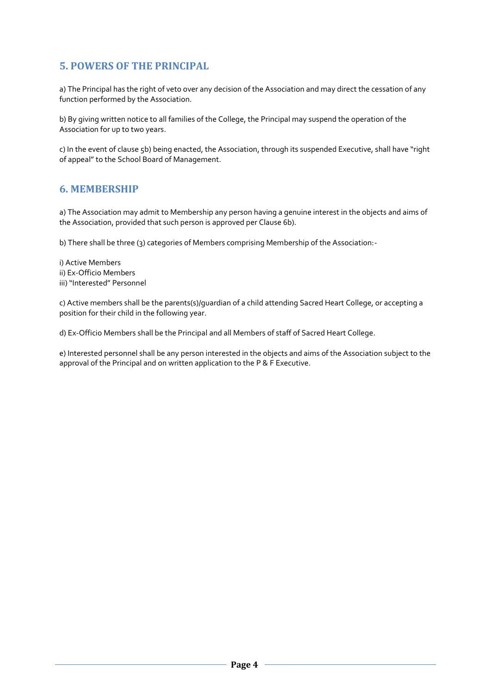## <span id="page-3-0"></span>**5. POWERS OF THE PRINCIPAL**

a) The Principal has the right of veto over any decision of the Association and may direct the cessation of any function performed by the Association.

b) By giving written notice to all families of the College, the Principal may suspend the operation of the Association for up to two years.

c) In the event of clause 5b) being enacted, the Association, through its suspended Executive, shall have "right of appeal" to the School Board of Management.

## <span id="page-3-1"></span>**6. MEMBERSHIP**

a) The Association may admit to Membership any person having a genuine interest in the objects and aims of the Association, provided that such person is approved per Clause 6b).

b) There shall be three (3) categories of Members comprising Membership of the Association:-

i) Active Members ii) Ex-Officio Members iii) "Interested" Personnel

c) Active members shall be the parents(s)/guardian of a child attending Sacred Heart College, or accepting a position for their child in the following year.

d) Ex-Officio Members shall be the Principal and all Members of staff of Sacred Heart College.

e) Interested personnel shall be any person interested in the objects and aims of the Association subject to the approval of the Principal and on written application to the P & F Executive.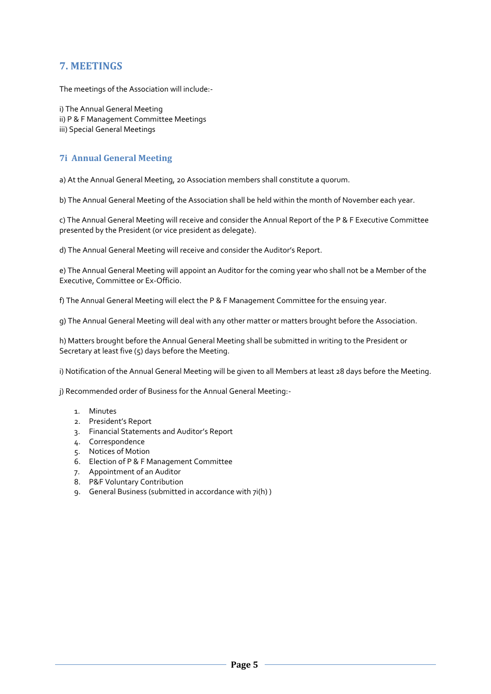## <span id="page-4-0"></span>**7. MEETINGS**

The meetings of the Association will include:-

i) The Annual General Meeting ii) P & F Management Committee Meetings iii) Special General Meetings

#### <span id="page-4-1"></span>**7i Annual General Meeting**

a) At the Annual General Meeting, 20 Association members shall constitute a quorum.

b) The Annual General Meeting of the Association shall be held within the month of November each year.

c) The Annual General Meeting will receive and consider the Annual Report of the P & F Executive Committee presented by the President (or vice president as delegate).

d) The Annual General Meeting will receive and consider the Auditor's Report.

e) The Annual General Meeting will appoint an Auditor for the coming year who shall not be a Member of the Executive, Committee or Ex-Officio.

f) The Annual General Meeting will elect the P & F Management Committee for the ensuing year.

g) The Annual General Meeting will deal with any other matter or matters brought before the Association.

h) Matters brought before the Annual General Meeting shall be submitted in writing to the President or Secretary at least five (5) days before the Meeting.

i) Notification of the Annual General Meeting will be given to all Members at least 28 days before the Meeting.

j) Recommended order of Business for the Annual General Meeting:-

- 1. Minutes
- 2. President's Report
- 3. Financial Statements and Auditor's Report
- 4. Correspondence
- 5. Notices of Motion
- 6. Election of P & F Management Committee
- 7. Appointment of an Auditor
- 8. P&F Voluntary Contribution
- 9. General Business (submitted in accordance with 7i(h) )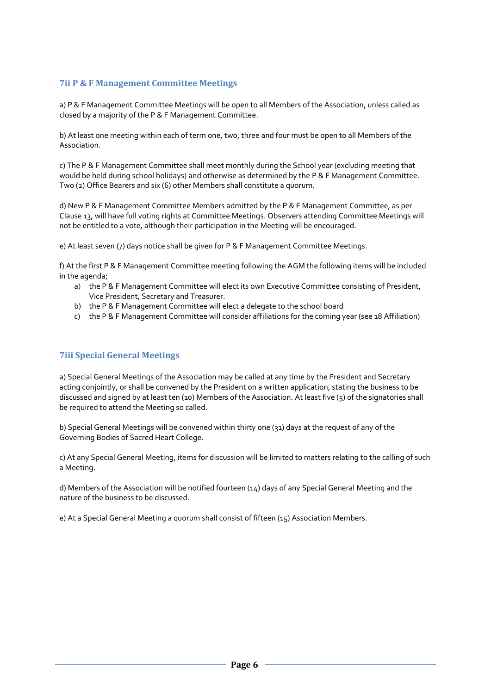#### <span id="page-5-0"></span>**7ii P & F Management Committee Meetings**

a) P & F Management Committee Meetings will be open to all Members of the Association, unless called as closed by a majority of the P & F Management Committee.

b) At least one meeting within each of term one, two, three and four must be open to all Members of the Association.

c) The P & F Management Committee shall meet monthly during the School year (excluding meeting that would be held during school holidays) and otherwise as determined by the P & F Management Committee. Two (2) Office Bearers and six (6) other Members shall constitute a quorum.

d) New P & F Management Committee Members admitted by the P & F Management Committee, as per Clause 13, will have full voting rights at Committee Meetings. Observers attending Committee Meetings will not be entitled to a vote, although their participation in the Meeting will be encouraged.

e) At least seven (7) days notice shall be given for P & F Management Committee Meetings.

f) At the first P & F Management Committee meeting following the AGM the following items will be included in the agenda;

- a) the P & F Management Committee will elect its own Executive Committee consisting of President, Vice President, Secretary and Treasurer.
- b) the P & F Management Committee will elect a delegate to the school board
- c) the P & F Management Committee will consider affiliations for the coming year (see 18 Affiliation)

#### <span id="page-5-1"></span>**7iii Special General Meetings**

a) Special General Meetings of the Association may be called at any time by the President and Secretary acting conjointly, or shall be convened by the President on a written application, stating the business to be discussed and signed by at least ten (10) Members of the Association. At least five (5) of the signatories shall be required to attend the Meeting so called.

b) Special General Meetings will be convened within thirty one (31) days at the request of any of the Governing Bodies of Sacred Heart College.

c) At any Special General Meeting, items for discussion will be limited to matters relating to the calling of such a Meeting.

d) Members of the Association will be notified fourteen (14) days of any Special General Meeting and the nature of the business to be discussed.

e) At a Special General Meeting a quorum shall consist of fifteen (15) Association Members.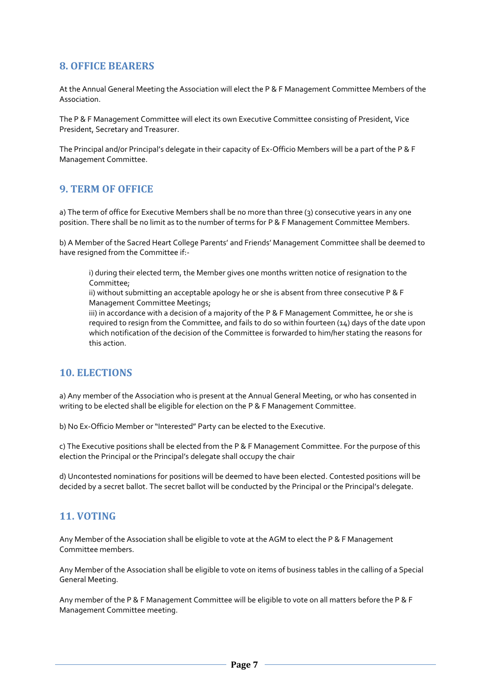## <span id="page-6-0"></span>**8. OFFICE BEARERS**

At the Annual General Meeting the Association will elect the P & F Management Committee Members of the Association.

The P & F Management Committee will elect its own Executive Committee consisting of President, Vice President, Secretary and Treasurer.

The Principal and/or Principal's delegate in their capacity of Ex-Officio Members will be a part of the P & F Management Committee.

## <span id="page-6-1"></span>**9. TERM OF OFFICE**

a) The term of office for Executive Members shall be no more than three (3) consecutive years in any one position. There shall be no limit as to the number of terms for P & F Management Committee Members.

b) A Member of the Sacred Heart College Parents' and Friends' Management Committee shall be deemed to have resigned from the Committee if:-

i) during their elected term, the Member gives one months written notice of resignation to the Committee;

ii) without submitting an acceptable apology he or she is absent from three consecutive P & F Management Committee Meetings;

iii) in accordance with a decision of a majority of the P & F Management Committee, he or she is required to resign from the Committee, and fails to do so within fourteen (14) days of the date upon which notification of the decision of the Committee is forwarded to him/her stating the reasons for this action.

## <span id="page-6-2"></span>**10. ELECTIONS**

a) Any member of the Association who is present at the Annual General Meeting, or who has consented in writing to be elected shall be eligible for election on the P & F Management Committee.

b) No Ex-Officio Member or "Interested" Party can be elected to the Executive.

c) The Executive positions shall be elected from the P & F Management Committee. For the purpose of this election the Principal or the Principal's delegate shall occupy the chair

d) Uncontested nominations for positions will be deemed to have been elected. Contested positions will be decided by a secret ballot. The secret ballot will be conducted by the Principal or the Principal's delegate.

## <span id="page-6-3"></span>**11. VOTING**

Any Member of the Association shall be eligible to vote at the AGM to elect the P & F Management Committee members.

Any Member of the Association shall be eligible to vote on items of business tables in the calling of a Special General Meeting.

Any member of the P & F Management Committee will be eligible to vote on all matters before the P & F Management Committee meeting.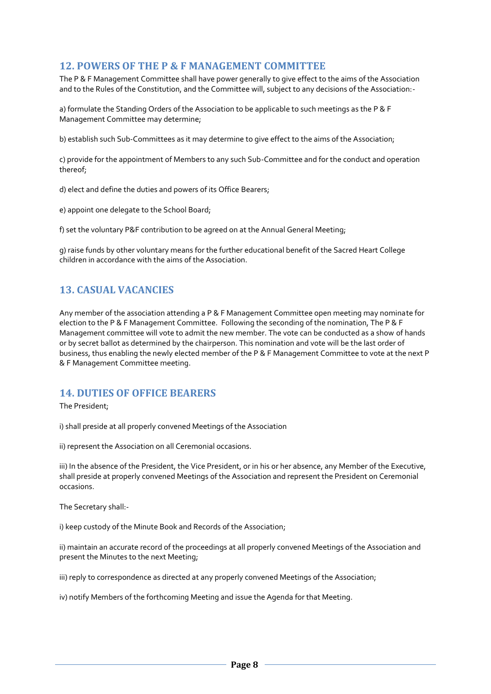## <span id="page-7-0"></span>**12. POWERS OF THE P & F MANAGEMENT COMMITTEE**

The P & F Management Committee shall have power generally to give effect to the aims of the Association and to the Rules of the Constitution, and the Committee will, subject to any decisions of the Association:-

a) formulate the Standing Orders of the Association to be applicable to such meetings as the P & F Management Committee may determine;

b) establish such Sub-Committees as it may determine to give effect to the aims of the Association;

c) provide for the appointment of Members to any such Sub-Committee and for the conduct and operation thereof;

d) elect and define the duties and powers of its Office Bearers;

e) appoint one delegate to the School Board;

f) set the voluntary P&F contribution to be agreed on at the Annual General Meeting;

g) raise funds by other voluntary means for the further educational benefit of the Sacred Heart College children in accordance with the aims of the Association.

## <span id="page-7-1"></span>**13. CASUAL VACANCIES**

Any member of the association attending a P & F Management Committee open meeting may nominate for election to the P & F Management Committee. Following the seconding of the nomination, The P & F Management committee will vote to admit the new member. The vote can be conducted as a show of hands or by secret ballot as determined by the chairperson. This nomination and vote will be the last order of business, thus enabling the newly elected member of the P & F Management Committee to vote at the next P & F Management Committee meeting.

## <span id="page-7-2"></span>**14. DUTIES OF OFFICE BEARERS**

The President;

i) shall preside at all properly convened Meetings of the Association

ii) represent the Association on all Ceremonial occasions.

iii) In the absence of the President, the Vice President, or in his or her absence, any Member of the Executive, shall preside at properly convened Meetings of the Association and represent the President on Ceremonial occasions.

The Secretary shall:-

i) keep custody of the Minute Book and Records of the Association;

ii) maintain an accurate record of the proceedings at all properly convened Meetings of the Association and present the Minutes to the next Meeting;

iii) reply to correspondence as directed at any properly convened Meetings of the Association;

iv) notify Members of the forthcoming Meeting and issue the Agenda for that Meeting.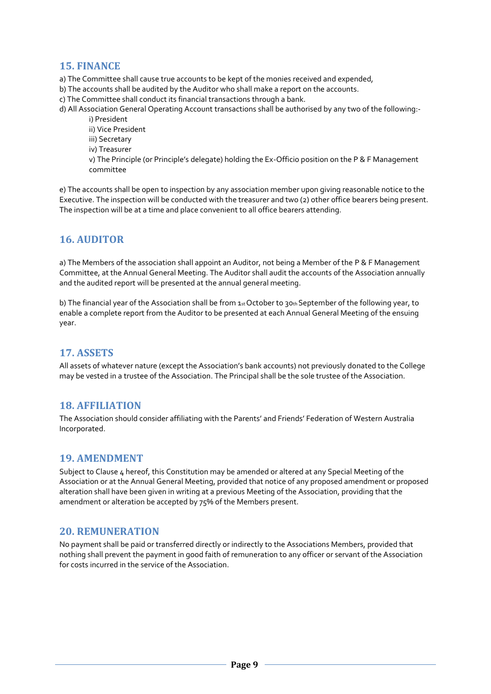## <span id="page-8-0"></span>**15. FINANCE**

- a) The Committee shall cause true accounts to be kept of the monies received and expended,
- b) The accounts shall be audited by the Auditor who shall make a report on the accounts.
- c) The Committee shall conduct its financial transactions through a bank.

d) All Association General Operating Account transactions shall be authorised by any two of the following: i) President

- ii) Vice President
- iii) Secretary
- iv) Treasurer
- v) The Principle (or Principle's delegate) holding the Ex-Officio position on the P & F Management committee

e) The accounts shall be open to inspection by any association member upon giving reasonable notice to the Executive. The inspection will be conducted with the treasurer and two (2) other office bearers being present. The inspection will be at a time and place convenient to all office bearers attending.

## <span id="page-8-1"></span>**16. AUDITOR**

a) The Members of the association shall appoint an Auditor, not being a Member of the P & F Management Committee, at the Annual General Meeting. The Auditor shall audit the accounts of the Association annually and the audited report will be presented at the annual general meeting.

b) The financial year of the Association shall be from  $1_{st}$  October to 30th September of the following year, to enable a complete report from the Auditor to be presented at each Annual General Meeting of the ensuing year.

## <span id="page-8-2"></span>**17. ASSETS**

All assets of whatever nature (except the Association's bank accounts) not previously donated to the College may be vested in a trustee of the Association. The Principal shall be the sole trustee of the Association.

## <span id="page-8-3"></span>**18. AFFILIATION**

The Association should consider affiliating with the Parents' and Friends' Federation of Western Australia Incorporated.

## <span id="page-8-4"></span>**19. AMENDMENT**

Subject to Clause 4 hereof, this Constitution may be amended or altered at any Special Meeting of the Association or at the Annual General Meeting, provided that notice of any proposed amendment or proposed alteration shall have been given in writing at a previous Meeting of the Association, providing that the amendment or alteration be accepted by 75% of the Members present.

#### <span id="page-8-5"></span>**20. REMUNERATION**

No payment shall be paid or transferred directly or indirectly to the Associations Members, provided that nothing shall prevent the payment in good faith of remuneration to any officer or servant of the Association for costs incurred in the service of the Association.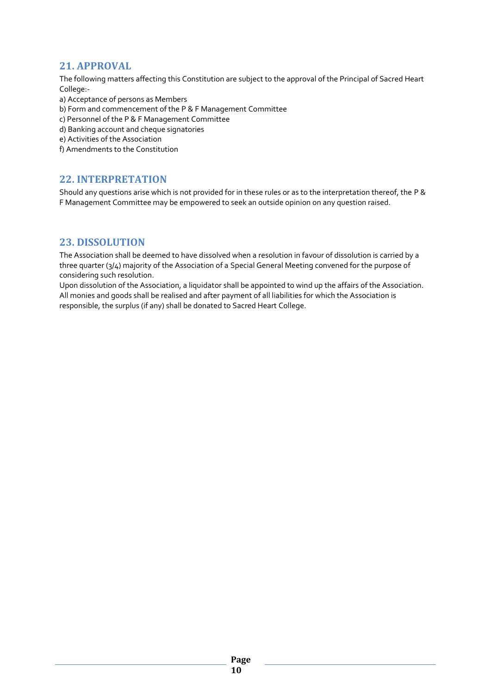## <span id="page-9-0"></span>**21. APPROVAL**

The following matters affecting this Constitution are subject to the approval of the Principal of Sacred Heart College:-

- a) Acceptance of persons as Members
- b) Form and commencement of the P & F Management Committee
- c) Personnel of the P & F Management Committee
- d) Banking account and cheque signatories
- e) Activities of the Association
- f) Amendments to the Constitution

## <span id="page-9-1"></span>**22. INTERPRETATION**

Should any questions arise which is not provided for in these rules or as to the interpretation thereof, the P & F Management Committee may be empowered to seek an outside opinion on any question raised.

#### <span id="page-9-2"></span>**23. DISSOLUTION**

The Association shall be deemed to have dissolved when a resolution in favour of dissolution is carried by a three quarter (3/4) majority of the Association of a Special General Meeting convened for the purpose of considering such resolution.

Upon dissolution of the Association, a liquidator shall be appointed to wind up the affairs of the Association. All monies and goods shall be realised and after payment of all liabilities for which the Association is responsible, the surplus (if any) shall be donated to Sacred Heart College.